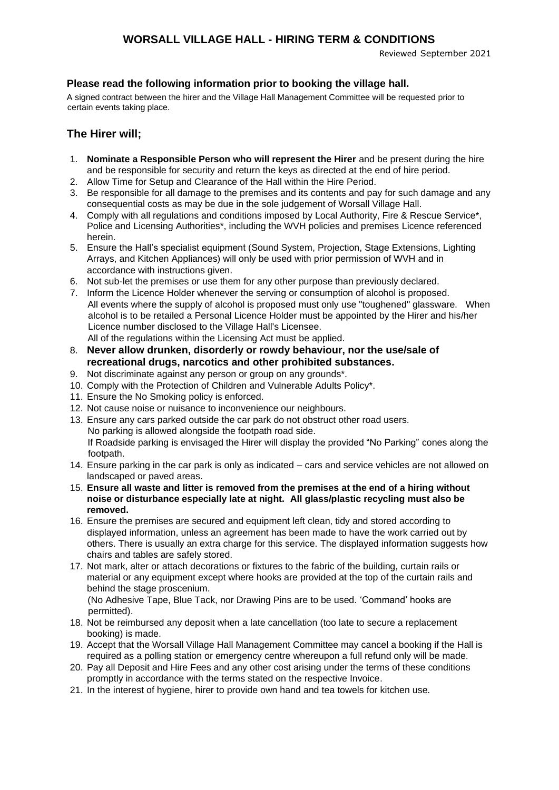### **WORSALL VILLAGE HALL - HIRING TERM & CONDITIONS**

Reviewed September 2021

### **Please read the following information prior to booking the village hall.**

A signed contract between the hirer and the Village Hall Management Committee will be requested prior to certain events taking place.

### **The Hirer will;**

- 1. **Nominate a Responsible Person who will represent the Hirer** and be present during the hire and be responsible for security and return the keys as directed at the end of hire period.
- 2. Allow Time for Setup and Clearance of the Hall within the Hire Period.
- 3. Be responsible for all damage to the premises and its contents and pay for such damage and any consequential costs as may be due in the sole judgement of Worsall Village Hall.
- 4. Comply with all regulations and conditions imposed by Local Authority, Fire & Rescue Service\*, Police and Licensing Authorities\*, including the WVH policies and premises Licence referenced herein.
- 5. Ensure the Hall's specialist equipment (Sound System, Projection, Stage Extensions, Lighting Arrays, and Kitchen Appliances) will only be used with prior permission of WVH and in accordance with instructions given.
- 6. Not sub-let the premises or use them for any other purpose than previously declared.
- 7. Inform the Licence Holder whenever the serving or consumption of alcohol is proposed. All events where the supply of alcohol is proposed must only use "toughened" glassware. When alcohol is to be retailed a Personal Licence Holder must be appointed by the Hirer and his/her Licence number disclosed to the Village Hall's Licensee. All of the regulations within the Licensing Act must be applied.
- 8. **Never allow drunken, disorderly or rowdy behaviour, nor the use/sale of recreational drugs, narcotics and other prohibited substances.**
- 9. Not discriminate against any person or group on any grounds\*.
- 10. Comply with the Protection of Children and Vulnerable Adults Policy\*.
- 11. Ensure the No Smoking policy is enforced.
- 12. Not cause noise or nuisance to inconvenience our neighbours.
- 13. Ensure any cars parked outside the car park do not obstruct other road users. No parking is allowed alongside the footpath road side. If Roadside parking is envisaged the Hirer will display the provided "No Parking" cones along the footpath.
- 14. Ensure parking in the car park is only as indicated cars and service vehicles are not allowed on landscaped or paved areas.
- 15. **Ensure all waste and litter is removed from the premises at the end of a hiring without noise or disturbance especially late at night. All glass/plastic recycling must also be removed.**
- 16. Ensure the premises are secured and equipment left clean, tidy and stored according to displayed information, unless an agreement has been made to have the work carried out by others. There is usually an extra charge for this service. The displayed information suggests how chairs and tables are safely stored.
- 17. Not mark, alter or attach decorations or fixtures to the fabric of the building, curtain rails or material or any equipment except where hooks are provided at the top of the curtain rails and behind the stage proscenium. (No Adhesive Tape, Blue Tack, nor Drawing Pins are to be used. 'Command' hooks are
- permitted). 18. Not be reimbursed any deposit when a late cancellation (too late to secure a replacement booking) is made.
- 19. Accept that the Worsall Village Hall Management Committee may cancel a booking if the Hall is required as a polling station or emergency centre whereupon a full refund only will be made.
- 20. Pay all Deposit and Hire Fees and any other cost arising under the terms of these conditions promptly in accordance with the terms stated on the respective Invoice.
- 21. In the interest of hygiene, hirer to provide own hand and tea towels for kitchen use.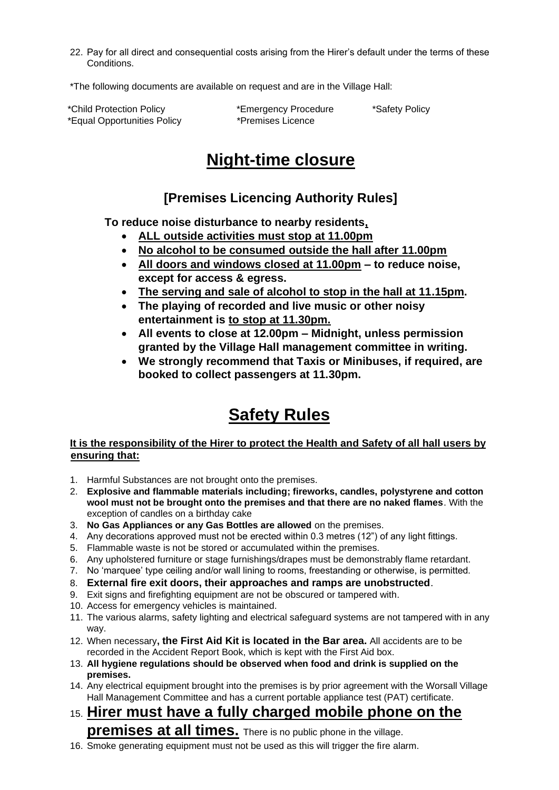22. Pay for all direct and consequential costs arising from the Hirer's default under the terms of these Conditions.

\*The following documents are available on request and are in the Village Hall:

\*Child Protection Policy \*Emergency Procedure \*Safety Policy \*Equal Opportunities Policy \*Premises Licence

# **Night-time closure**

## **[Premises Licencing Authority Rules]**

**To reduce noise disturbance to nearby residents,**

- **ALL outside activities must stop at 11.00pm**
- **No alcohol to be consumed outside the hall after 11.00pm**
- **All doors and windows closed at 11.00pm – to reduce noise, except for access & egress.**
- **The serving and sale of alcohol to stop in the hall at 11.15pm.**
- **The playing of recorded and live music or other noisy entertainment is to stop at 11.30pm.**
- **All events to close at 12.00pm – Midnight, unless permission granted by the Village Hall management committee in writing.**
- **We strongly recommend that Taxis or Minibuses, if required, are booked to collect passengers at 11.30pm.**

# **Safety Rules**

### **It is the responsibility of the Hirer to protect the Health and Safety of all hall users by ensuring that:**

- 1. Harmful Substances are not brought onto the premises.
- 2. **Explosive and flammable materials including; fireworks, candles, polystyrene and cotton wool must not be brought onto the premises and that there are no naked flames**. With the exception of candles on a birthday cake
- 3. **No Gas Appliances or any Gas Bottles are allowed** on the premises.
- 4. Any decorations approved must not be erected within 0.3 metres (12") of any light fittings.
- 5. Flammable waste is not be stored or accumulated within the premises.
- 6. Any upholstered furniture or stage furnishings/drapes must be demonstrably flame retardant.
- 7. No 'marquee' type ceiling and/or wall lining to rooms, freestanding or otherwise, is permitted.
- 8. **External fire exit doors, their approaches and ramps are unobstructed**.
- 9. Exit signs and firefighting equipment are not be obscured or tampered with.
- 10. Access for emergency vehicles is maintained.
- 11. The various alarms, safety lighting and electrical safeguard systems are not tampered with in any way.
- 12. When necessary**, the First Aid Kit is located in the Bar area.** All accidents are to be recorded in the Accident Report Book, which is kept with the First Aid box.
- 13. **All hygiene regulations should be observed when food and drink is supplied on the premises.**
- 14. Any electrical equipment brought into the premises is by prior agreement with the Worsall Village Hall Management Committee and has a current portable appliance test (PAT) certificate.
- 15. **Hirer must have a fully charged mobile phone on the premises at all times.** There is no public phone in the village.
- 16. Smoke generating equipment must not be used as this will trigger the fire alarm.